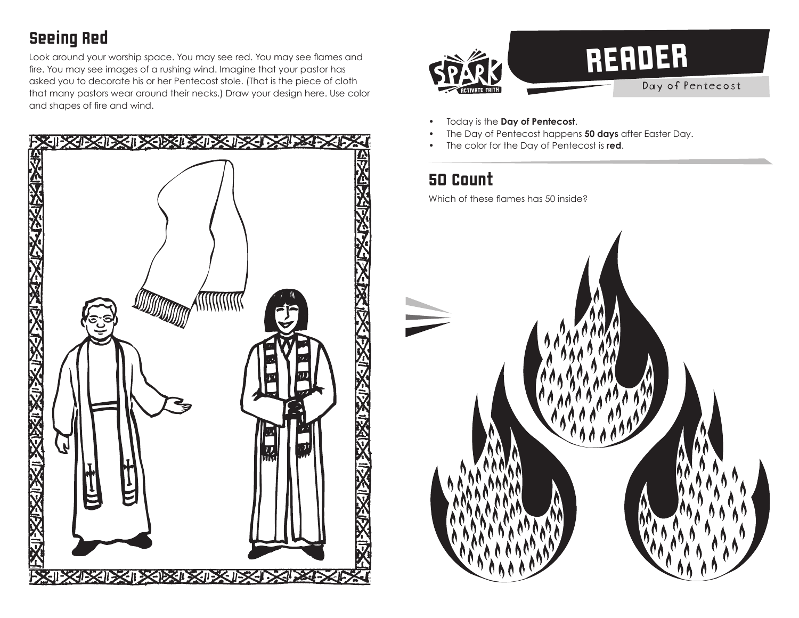## Seeing Red

Look around your worship space. You may see red. You may see flames and fire. You may see images of a rushing wind. Imagine that your pastor has asked you to decorate his or her Pentecost stole. (That is the piece of cloth that many pastors wear around their necks.) Draw your design here. Use color and shapes of fire and wind.





- Today is the **Day of Pentecost**.
- The Day of Pentecost happens **50 days** after Easter Day.
- The color for the Day of Pentecost is **red**.

## 50 Count

Which of these flames has 50 inside?